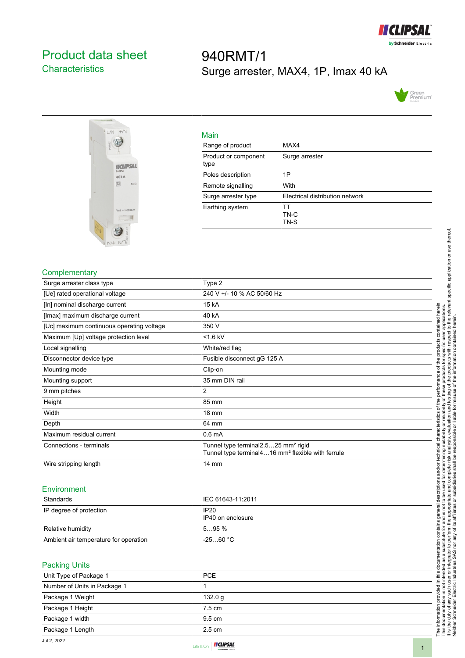

# <span id="page-0-0"></span>Product data sheet **Characteristics**

# 940RMT/1 Surge arrester, MAX4, 1P, Imax 40 kA





| Main                         |                                 |
|------------------------------|---------------------------------|
| Range of product             | MAX4                            |
| Product or component<br>type | Surge arrester                  |
| Poles description            | 1P                              |
| Remote signalling            | With                            |
| Surge arrester type          | Electrical distribution network |
| Earthing system              | тт<br>TN-C<br>TN-S              |

#### **Complementary**

| Surge arrester class type                 | Type 2                                                                                                           |
|-------------------------------------------|------------------------------------------------------------------------------------------------------------------|
| [Ue] rated operational voltage            | 240 V +/- 10 % AC 50/60 Hz                                                                                       |
| [In] nominal discharge current            | 15 kA                                                                                                            |
| [Imax] maximum discharge current          | 40 kA                                                                                                            |
| [Uc] maximum continuous operating voltage | 350 V                                                                                                            |
| Maximum [Up] voltage protection level     | $<$ 1.6 kV                                                                                                       |
| Local signalling                          | White/red flag                                                                                                   |
| Disconnector device type                  | Fusible disconnect gG 125 A                                                                                      |
| Mounting mode                             | Clip-on                                                                                                          |
| Mounting support                          | 35 mm DIN rail                                                                                                   |
| 9 mm pitches                              | 2                                                                                                                |
| Height                                    | 85 mm                                                                                                            |
| Width                                     | 18 mm                                                                                                            |
| Depth                                     | 64 mm                                                                                                            |
| Maximum residual current                  | 0.6 <sub>m</sub> A                                                                                               |
| Connections - terminals                   | Tunnel type terminal2.525 mm <sup>2</sup> rigid<br>Tunnel type terminal416 mm <sup>2</sup> flexible with ferrule |
| Wire stripping length                     | 14 mm                                                                                                            |
|                                           |                                                                                                                  |

## **Environment**

| Standards                             | IEC 61643-11:2011         |
|---------------------------------------|---------------------------|
| IP degree of protection               | IP20<br>IP40 on enclosure |
| Relative humidity                     | 595%                      |
| Ambient air temperature for operation | $-2560 °C$                |

### Packing Units

| <b>CONTRACTOR</b>            |                  |  |
|------------------------------|------------------|--|
| Unit Type of Package 1       | <b>PCE</b>       |  |
| Number of Units in Package 1 |                  |  |
| Package 1 Weight             | 132.0 g          |  |
| Package 1 Height             | $7.5 \text{ cm}$ |  |
| Package 1 width              | $9.5 \text{ cm}$ |  |
| Package 1 Length             | $2.5 \text{ cm}$ |  |
| 1.10.0000                    |                  |  |